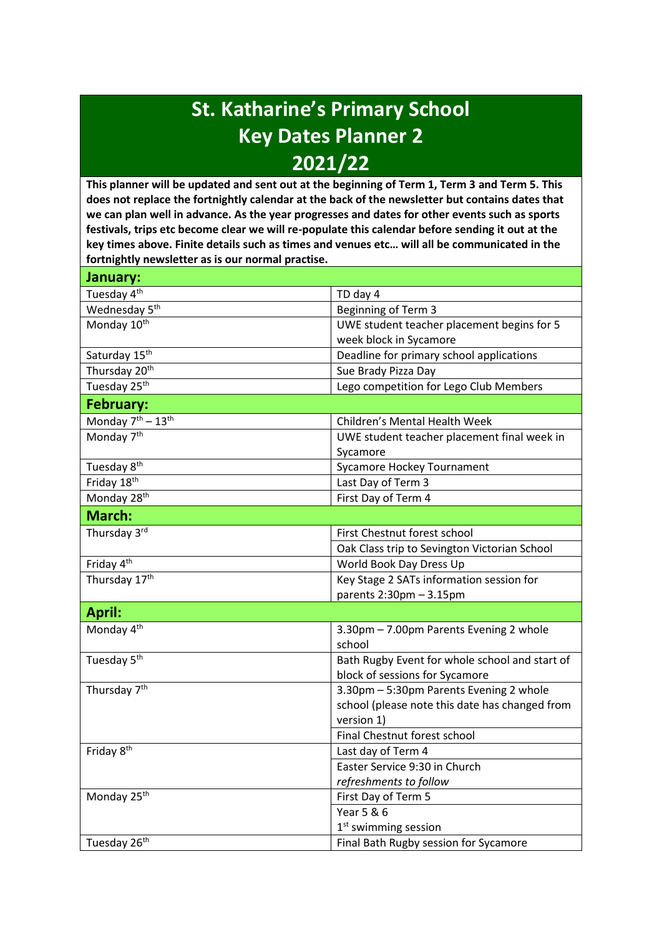## **St. Katharine's Primary School Key Dates Planner 2 2021/22**

**This planner will be updated and sent out at the beginning of Term 1, Term 3 and Term 5. This does not replace the fortnightly calendar at the back of the newsletter but contains dates that we can plan well in advance. As the year progresses and dates for other events such as sports festivals, trips etc become clear we will re-populate this calendar before sending it out at the key times above. Finite details such as times and venues etc… will all be communicated in the fortnightly newsletter as is our normal practise.**

| January:                             |                                                |
|--------------------------------------|------------------------------------------------|
| Tuesday 4 <sup>th</sup>              | TD day 4                                       |
| Wednesday 5 <sup>th</sup>            | Beginning of Term 3                            |
| Monday 10 <sup>th</sup>              | UWE student teacher placement begins for 5     |
|                                      | week block in Sycamore                         |
| Saturday 15 <sup>th</sup>            | Deadline for primary school applications       |
| Thursday 20 <sup>th</sup>            | Sue Brady Pizza Day                            |
| Tuesday 25 <sup>th</sup>             | Lego competition for Lego Club Members         |
| <b>February:</b>                     |                                                |
| Monday $\overline{7^{th} - 13^{th}}$ | Children's Mental Health Week                  |
| Monday 7 <sup>th</sup>               | UWE student teacher placement final week in    |
|                                      | Sycamore                                       |
| Tuesday 8 <sup>th</sup>              | <b>Sycamore Hockey Tournament</b>              |
| Friday 18th                          | Last Day of Term 3                             |
| Monday 28 <sup>th</sup>              | First Day of Term 4                            |
| March:                               |                                                |
| Thursday 3rd                         | First Chestnut forest school                   |
|                                      | Oak Class trip to Sevington Victorian School   |
| Friday 4th                           | World Book Day Dress Up                        |
| Thursday 17th                        | Key Stage 2 SATs information session for       |
|                                      | parents 2:30pm - 3.15pm                        |
| <b>April:</b>                        |                                                |
| Monday 4 <sup>th</sup>               | 3.30pm - 7.00pm Parents Evening 2 whole        |
|                                      | school                                         |
| Tuesday 5 <sup>th</sup>              | Bath Rugby Event for whole school and start of |
|                                      | block of sessions for Sycamore                 |
| Thursday 7 <sup>th</sup>             | 3.30pm - 5:30pm Parents Evening 2 whole        |
|                                      | school (please note this date has changed from |
|                                      | version 1)                                     |
|                                      | Final Chestnut forest school                   |
| Friday 8 <sup>th</sup>               | Last day of Term 4                             |
|                                      | Easter Service 9:30 in Church                  |
|                                      | refreshments to follow                         |
| Monday 25 <sup>th</sup>              | First Day of Term 5                            |
|                                      | Year 5 & 6                                     |
|                                      | $1st$ swimming session                         |
| Tuesday 26th                         | Final Bath Rugby session for Sycamore          |